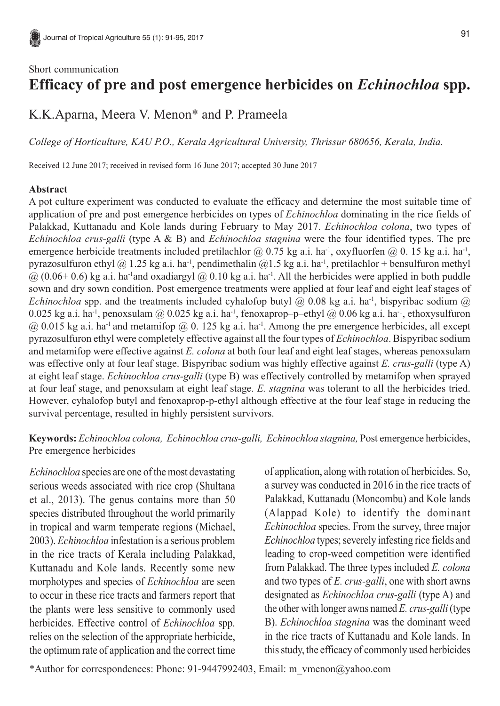## Short communication **Efficacy of pre and post emergence herbicides on** *Echinochloa* **spp.**

K.K.Aparna, Meera V. Menon\* and P. Prameela

*College of Horticulture, KAU P.O., Kerala Agricultural University, Thrissur 680656, Kerala, India.*

Received 12 June 2017; received in revised form 16 June 2017; accepted 30 June 2017

## **Abstract**

A pot culture experiment was conducted to evaluate the efficacy and determine the most suitable time of application of pre and post emergence herbicides on types of *Echinochloa* dominating in the rice fields of Palakkad, Kuttanadu and Kole lands during February to May 2017. *Echinochloa colona*, two types of *Echinochloa crus-galli* (type A & B) and *Echinochloa stagnina* were the four identified types. The pre emergence herbicide treatments included pretilachlor  $\omega$  0.75 kg a.i. ha<sup>-1</sup>, oxyfluorfen  $\omega$  0. 15 kg a.i. ha<sup>-1</sup>, pyrazosulfuron ethyl @ 1.25 kg a.i. ha<sup>-1</sup>, pendimethalin @1.5 kg a.i. ha<sup>-1</sup>, pretilachlor + bensulfuron methyl  $(a)$  (0.06+ 0.6) kg a.i. ha<sup>-1</sup>and oxadiargyl  $(a)$  0.10 kg a.i. ha<sup>-1</sup>. All the herbicides were applied in both puddle sown and dry sown condition. Post emergence treatments were applied at four leaf and eight leaf stages of *Echinochloa* spp. and the treatments included cyhalofop butyl  $\omega$  0.08 kg a.i. ha<sup>-1</sup>, bispyribac sodium  $\omega$ 0.025 kg a.i. ha<sup>-1</sup>, penoxsulam @ 0.025 kg a.i. ha<sup>-1</sup>, fenoxaprop–p–ethyl @ 0.06 kg a.i. ha<sup>-1</sup>, ethoxysulfuron  $(a)$  0.015 kg a.i. ha<sup>-1</sup> and metamifop  $(a)$  0.125 kg a.i. ha<sup>-1</sup>. Among the pre emergence herbicides, all except pyrazosulfuron ethyl were completely effective against all the four types of *Echinochloa*. Bispyribac sodium and metamifop were effective against *E. colona* at both four leaf and eight leaf stages, whereas penoxsulam was effective only at four leaf stage. Bispyribac sodium was highly effective against *E. crus-galli* (type A) at eight leaf stage. *Echinochloa crus-galli* (type B) was effectively controlled by metamifop when sprayed at four leaf stage, and penoxsulam at eight leaf stage. *E. stagnina* was tolerant to all the herbicides tried. However, cyhalofop butyl and fenoxaprop-p-ethyl although effective at the four leaf stage in reducing the survival percentage, resulted in highly persistent survivors.

**Keywords:** *Echinochloa colona, Echinochloa crus-galli, Echinochloa stagnina,* Post emergence herbicides, Pre emergence herbicides

*Echinochloa* species are one of the most devastating serious weeds associated with rice crop (Shultana et al., 2013). The genus contains more than 50 species distributed throughout the world primarily in tropical and warm temperate regions (Michael, 2003). *Echinochloa* infestation is a serious problem in the rice tracts of Kerala including Palakkad, Kuttanadu and Kole lands. Recently some new morphotypes and species of *Echinochloa* are seen to occur in these rice tracts and farmers report that the plants were less sensitive to commonly used herbicides. Effective control of *Echinochloa* spp. relies on the selection of the appropriate herbicide, the optimum rate of application and the correct time of application, along with rotation of herbicides. So, a survey was conducted in 2016 in the rice tracts of Palakkad, Kuttanadu (Moncombu) and Kole lands (Alappad Kole) to identify the dominant *Echinochloa* species. From the survey, three major *Echinochloa* types; severely infesting rice fields and leading to crop-weed competition were identified from Palakkad. The three types included *E. colona* and two types of *E. crus-galli*, one with short awns designated as *Echinochloa crus-galli* (type A) and the other with longer awns named *E. crus-galli* (type B). *Echinochloa stagnina* was the dominant weed in the rice tracts of Kuttanadu and Kole lands. In this study, the efficacy of commonly used herbicides

\*Author for correspondences: Phone: 91-9447992403, Email: m\_vmenon@yahoo.com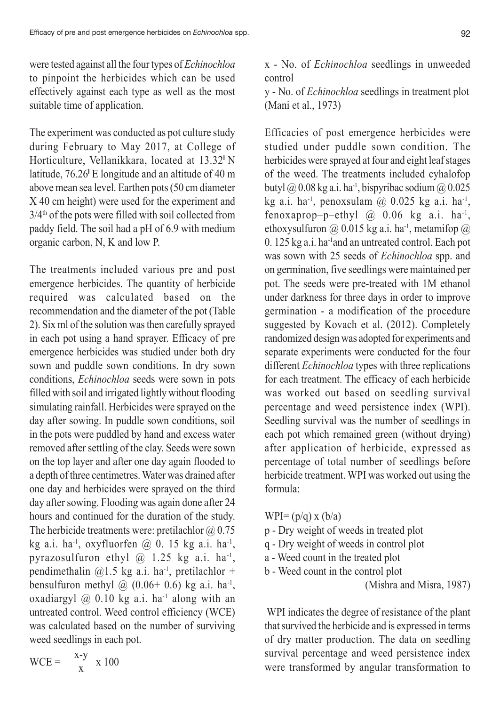92

were tested against all the four types of *Echinochloa* to pinpoint the herbicides which can be used effectively against each type as well as the most suitable time of application.

The experiment was conducted as pot culture study during February to May 2017, at College of Horticulture, Vellanikkara, located at 13.32**<sup>I</sup>**N latitude, 76.26<sup>°</sup> E longitude and an altitude of 40 m above mean sea level. Earthen pots (50 cm diameter X 40 cm height) were used for the experiment and  $3/4<sup>th</sup>$  of the pots were filled with soil collected from paddy field. The soil had a pH of 6.9 with medium organic carbon, N, K and low P.

The treatments included various pre and post emergence herbicides. The quantity of herbicide required was calculated based on the recommendation and the diameter of the pot (Table 2). Six ml of the solution was then carefully sprayed in each pot using a hand sprayer. Efficacy of pre emergence herbicides was studied under both dry sown and puddle sown conditions. In dry sown conditions, *Echinochloa* seeds were sown in pots filled with soil and irrigated lightly without flooding simulating rainfall. Herbicides were sprayed on the day after sowing. In puddle sown conditions, soil in the pots were puddled by hand and excess water removed after settling of the clay. Seeds were sown on the top layer and after one day again flooded to a depth of three centimetres. Water was drained after one day and herbicides were sprayed on the third day after sowing. Flooding was again done after 24 hours and continued for the duration of the study. The herbicide treatments were: pretilachlor  $\omega$  0.75 kg a.i. ha<sup>-1</sup>, oxyfluorfen  $\omega$  0. 15 kg a.i. ha<sup>-1</sup>, pyrazosulfuron ethyl  $\omega$  1.25 kg a.i. ha<sup>-1</sup>, pendimethalin  $(2)$ 1.5 kg a.i. ha<sup>-1</sup>, pretilachlor + bensulfuron methyl  $\omega$  (0.06+ 0.6) kg a.i. ha<sup>-1</sup>, oxadiargyl  $(20, 0.10 \text{ kg a.i.} \text{ha}^{-1} \text{ along with an})$ untreated control. Weed control efficiency (WCE) was calculated based on the number of surviving weed seedlings in each pot.

x - No. of *Echinochloa* seedlings in unweeded control

y - No. of *Echinochloa* seedlings in treatment plot (Mani et al., 1973)

Efficacies of post emergence herbicides were studied under puddle sown condition. The herbicides were sprayed at four and eight leaf stages of the weed. The treatments included cyhalofop butyl  $\omega$  0.08 kg a.i. ha<sup>-1</sup>, bispyribac sodium  $\omega$  0.025 kg a.i. ha<sup>-1</sup>, penoxsulam  $\omega$  0.025 kg a.i. ha<sup>-1</sup>, fenoxaprop-p-ethyl  $\omega$  0.06 kg a.i. ha<sup>-1</sup>, ethoxysulfuron @ 0.015 kg a.i. ha<sup>-1</sup>, metamifop @ 0. 125 kg a.i. ha-1and an untreated control. Each pot was sown with 25 seeds of *Echinochloa* spp. and on germination, five seedlings were maintained per pot. The seeds were pre-treated with 1M ethanol under darkness for three days in order to improve germination - a modification of the procedure suggested by Kovach et al. (2012). Completely randomized design was adopted for experiments and separate experiments were conducted for the four different *Echinochloa* types with three replications for each treatment. The efficacy of each herbicide was worked out based on seedling survival percentage and weed persistence index (WPI). Seedling survival was the number of seedlings in each pot which remained green (without drying) after application of herbicide, expressed as percentage of total number of seedlings before herbicide treatment. WPI was worked out using the formula:

WPI= $(p/q)$  x  $(b/a)$ 

- p Dry weight of weeds in treated plot
- q Dry weight of weeds in control plot
- a Weed count in the treated plot
- b Weed count in the control plot

(Mishra and Misra, 1987)

 WPI indicates the degree of resistance of the plant that survived the herbicide and is expressed in terms of dry matter production. The data on seedling survival percentage and weed persistence index were transformed by angular transformation to

$$
WCE = \frac{x-y}{x} \times 100
$$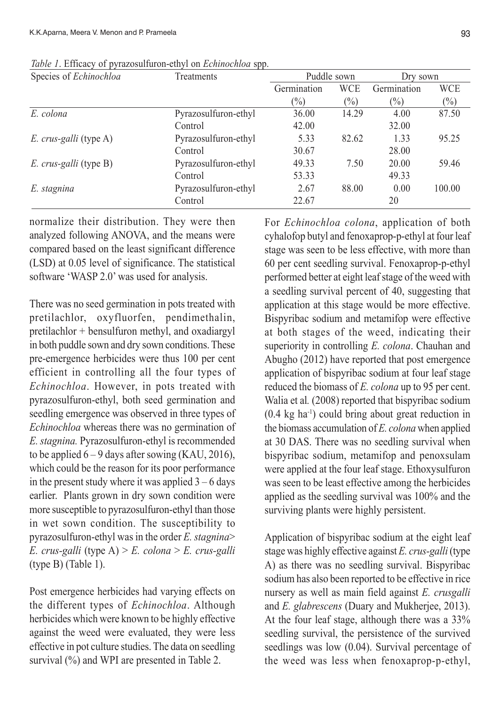| Species of Echinochloa | Treatments           |               | Puddle sown | Dry sown    |        |  |
|------------------------|----------------------|---------------|-------------|-------------|--------|--|
|                        |                      | Germination   | <b>WCE</b>  | Germination | WCE    |  |
|                        |                      | $\frac{1}{2}$ | $(\%)$      | $(\%)$      | $(\%)$ |  |
| E. colona              | Pyrazosulfuron-ethyl | 36.00         | 14.29       | 4.00        | 87.50  |  |
|                        | Control              | 42.00         |             | 32.00       |        |  |
| E. crus-galli (type A) | Pyrazosulfuron-ethyl | 5.33          | 82.62       | 1.33        | 95.25  |  |
|                        | Control              | 30.67         |             | 28.00       |        |  |
| E. crus-galli (type B) | Pyrazosulfuron-ethyl | 49.33         | 7.50        | 20.00       | 59.46  |  |
|                        | Control              | 53.33         |             | 49.33       |        |  |
| E. stagnina            | Pyrazosulfuron-ethyl | 2.67          | 88.00       | 0.00        | 100.00 |  |
|                        | Control              | 22.67         |             | 20          |        |  |

*Table 1*. Efficacy of pyrazosulfuron-ethyl on *Echinochloa* spp.

normalize their distribution. They were then analyzed following ANOVA, and the means were compared based on the least significant difference (LSD) at 0.05 level of significance. The statistical software 'WASP 2.0' was used for analysis.

There was no seed germination in pots treated with pretilachlor, oxyfluorfen, pendimethalin, pretilachlor + bensulfuron methyl, and oxadiargyl in both puddle sown and dry sown conditions. These pre-emergence herbicides were thus 100 per cent efficient in controlling all the four types of *Echinochloa*. However, in pots treated with pyrazosulfuron-ethyl, both seed germination and seedling emergence was observed in three types of *Echinochloa* whereas there was no germination of *E. stagnina.* Pyrazosulfuron-ethyl is recommended to be applied  $6 - 9$  days after sowing (KAU, 2016), which could be the reason for its poor performance in the present study where it was applied  $3 - 6$  days earlier. Plants grown in dry sown condition were more susceptible to pyrazosulfuron-ethyl than those in wet sown condition. The susceptibility to pyrazosulfuron-ethyl was in the order *E. stagnina*> *E. crus-galli* (type A) > *E. colona* > *E. crus-galli* (type B) (Table 1).

Post emergence herbicides had varying effects on the different types of *Echinochloa*. Although herbicides which were known to be highly effective against the weed were evaluated, they were less effective in pot culture studies. The data on seedling survival  $\left(\frac{9}{6}\right)$  and WPI are presented in Table 2.

For *Echinochloa colona*, application of both cyhalofop butyl and fenoxaprop-p-ethyl at four leaf stage was seen to be less effective, with more than 60 per cent seedling survival. Fenoxaprop-p-ethyl performed better at eight leaf stage of the weed with a seedling survival percent of 40, suggesting that application at this stage would be more effective. Bispyribac sodium and metamifop were effective at both stages of the weed, indicating their superiority in controlling *E. colona*. Chauhan and Abugho (2012) have reported that post emergence application of bispyribac sodium at four leaf stage reduced the biomass of *E. colona* up to 95 per cent. Walia et al*.* (2008) reported that bispyribac sodium (0.4 kg ha-1) could bring about great reduction in the biomass accumulation of *E. colona* when applied at 30 DAS. There was no seedling survival when bispyribac sodium, metamifop and penoxsulam were applied at the four leaf stage. Ethoxysulfuron was seen to be least effective among the herbicides applied as the seedling survival was 100% and the surviving plants were highly persistent.

Application of bispyribac sodium at the eight leaf stage was highly effective against *E. crus-galli* (type A) as there was no seedling survival. Bispyribac sodium has also been reported to be effective in rice nursery as well as main field against *E. crusgalli* and *E. glabrescens* (Duary and Mukherjee, 2013). At the four leaf stage, although there was a 33% seedling survival, the persistence of the survived seedlings was low (0.04). Survival percentage of the weed was less when fenoxaprop-p-ethyl,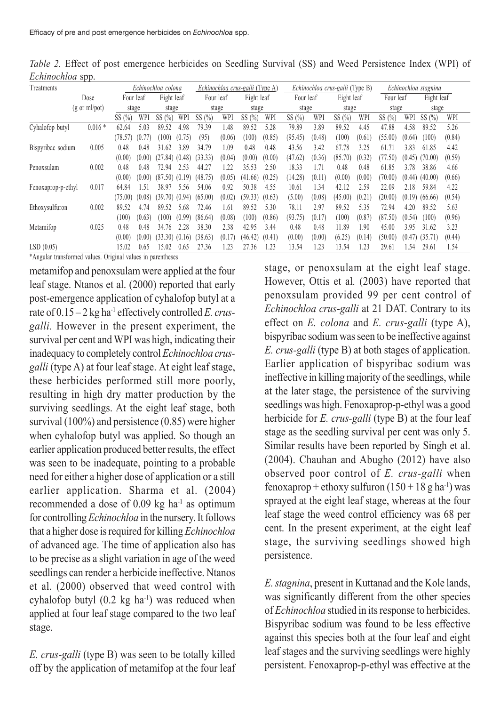| .                               | $  -$    |                    |                         |                    |                                 |           |                                 |            |        |           |                      |            |        |           |        |            |        |
|---------------------------------|----------|--------------------|-------------------------|--------------------|---------------------------------|-----------|---------------------------------|------------|--------|-----------|----------------------|------------|--------|-----------|--------|------------|--------|
| Treatments                      |          | Echinochloa colona |                         |                    | Echinochloa crus-galli (Type A) |           | Echinochloa crus-galli (Type B) |            |        |           | Echinochloa stagnina |            |        |           |        |            |        |
| Dose                            |          |                    | Eight leaf<br>Four leaf |                    |                                 | Four leaf |                                 | Eight leaf |        | Four leaf |                      | Eight leaf |        | Four leaf |        | Eight leaf |        |
| $(g \text{ or } ml\text{/pot})$ |          | stage              |                         | stage              |                                 | stage     |                                 | stage      |        | stage     |                      | stage      |        | stage     |        | stage      |        |
|                                 |          | SS(%)              | WPI                     | SS(%)              | WPI                             | SS(%)     | WPI                             | SS $(%)$   | WPI    | SS $(\%)$ | WPI                  | SS $(\%)$  | WPI    | SS(%      | WPI    | SS $(\% )$ | WPI    |
| Cyhalofop butyl                 | $0.016*$ | 62.64              | 5.03                    | 89.52              | 4.98                            | 79.39     | 1.48                            | 89.52      | 5.28   | 79.89     | 3.89                 | 89.52      | 4.45   | 47.88     | 4.58   | 89.52      | 5.26   |
|                                 |          | (78.57)            | (0.77)                  | (100)              | (0.75)                          | (95)      | (0.06)                          | (100)      | (0.85) | (95.45)   | (0.48)               | (100)      | (0.61) | (55.00)   | (0.64) | (100)      | (0.84) |
| Bispyribac sodium               | 0.005    | 0.48               | 0.48                    | 31.62              | 3.89                            | 34.79     | 1.09                            | 0.48       | 0.48   | 43.56     | 3.42                 | 67.78      | 3.25   | 61.7      | 3.83   | 61.85      | 4.42   |
|                                 |          | (0.00)             | (0.00)                  | (27.84)            | (0.48)                          | (33.33)   | (0.04)                          | (0.00)     | (0.00) | (47.62)   | (0.36)               | (85.70)    | (0.32) | (77.50)   | (0.45) | (70.00)    | (0.59) |
| Penoxsulam                      | 0.002    | 0.48               | 0.48                    | 72.94              | 2.53                            | 44.27     | .22                             | 35.53      | 2.50   | 18.33     | 1.71                 | 0.48       | 0.48   | 61.85     | 3.78   | 38.86      | 4.66   |
|                                 |          | (0.00)             | (0.00)                  | (87.50)            | (0.19)                          | (48.75)   | (0.05)                          | (41.66)    | (0.25) | (14.28)   | (0.11)               | (0.00)     | (0.00) | (70.00)   | (0.44) | (40.00)    | (0.66) |
| Fenoxaprop-p-ethyl              | 0.017    | 64.84              | 1.51                    | 38.97              | 5.56                            | 54.06     | 0.92                            | 50.38      | 4.55   | 10.61     | -34                  | 42.12      | 2.59   | 22.09     | 2.18   | 59.84      | 4.22   |
|                                 |          | (75.00)            | (0.08)                  | $(39.70)$ $(0.94)$ |                                 | (65.00)   | (0.02)                          | (59.33)    | (0.63) | (5.00)    | (0.08)               | (45.00)    | (0.21) | (20.00)   | (0.19) | (66.66)    | (0.54) |
| Ethoxysulfuron                  | 0.002    | 89.52              | 4.74                    | 89.52              | 5.68                            | 72.46     | l.61                            | 89.52      | 5.30   | 78.11     | 2.97                 | 89.52      | 5.35   | 72.94     | 4.20   | 89.52      | 5.63   |
|                                 |          | (100)              | (0.63)                  | (100)              | (0.99)                          | (86.64)   | (0.08)                          | (100)      | (0.86) | (93.75)   | (0.17)               | (100)      | (0.87) | (87.50)   | (0.54) | (100)      | (0.96) |
| Metamifop                       | 0.025    | 0.48               | 0.48                    | 34.76              | 2.28                            | 38.30     | 2.38                            | 42.95      | 3.44   | 0.48      | 0.48                 | 11.89      | 1.90   | 45.00     | 3.95   | 31.62      | 3.23   |
|                                 |          | (0.00)             | (0.00)                  | (33.30)            | (0.16)                          | (38.63)   | (0.17)                          | (46.42)    | (0.41) | (0.00)    | (0.00)               | (6.25)     | (0.14) | (50.00)   | (0.47) | (35.71)    | (0.44) |
| LSD(0.05)                       |          | 15.02              | 0.65                    | 15.02              | 0.65                            | 27.36     | -23                             | 27.36      |        | 13.54     | .23                  | 13.54      | 23     | 29.61     | l.54   | 29.61      | 1.54   |

*Table 2.* Effect of post emergence herbicides on Seedling Survival (SS) and Weed Persistence Index (WPI) of *Echinochlog* spp.

\*Angular transformed values. Original values in parentheses

metamifop and penoxsulam were applied at the four leaf stage. Ntanos et al. (2000) reported that early post-emergence application of cyhalofop butyl at a rate of  $0.15 - 2$  kg ha<sup>-1</sup> effectively controlled *E. crusgalli.* However in the present experiment, the survival per cent and WPI was high, indicating their inadequacy to completely control *Echinochloa crusgalli* (type A) at four leaf stage. At eight leaf stage, these herbicides performed still more poorly, resulting in high dry matter production by the surviving seedlings. At the eight leaf stage, both survival (100%) and persistence (0.85) were higher when cyhalofop butyl was applied. So though an earlier application produced better results, the effect was seen to be inadequate, pointing to a probable need for either a higher dose of application or a still earlier application. Sharma et al. (2004) recommended a dose of  $0.09 \text{ kg}$  ha<sup>-1</sup> as optimum for controlling *Echinochloa* in the nursery. It follows that a higher dose is required for killing *Echinochloa* of advanced age. The time of application also has to be precise as a slight variation in age of the weed seedlings can render a herbicide ineffective. Ntanos et al. (2000) observed that weed control with cyhalofop butyl  $(0.2 \text{ kg ha}^{-1})$  was reduced when applied at four leaf stage compared to the two leaf stage.

*E. crus-galli* (type B) was seen to be totally killed off by the application of metamifop at the four leaf stage, or penoxsulam at the eight leaf stage. However, Ottis et al*.* (2003) have reported that penoxsulam provided 99 per cent control of *Echinochloa crus-galli* at 21 DAT. Contrary to its effect on *E. colona* and *E. crus-galli* (type A), bispyribac sodium was seen to be ineffective against *E. crus-galli* (type B) at both stages of application. Earlier application of bispyribac sodium was ineffective in killing majority of the seedlings, while at the later stage, the persistence of the surviving seedlings was high. Fenoxaprop-p-ethyl was a good herbicide for *E. crus-galli* (type B) at the four leaf stage as the seedling survival per cent was only 5. Similar results have been reported by Singh et al. (2004). Chauhan and Abugho (2012) have also observed poor control of *E. crus-galli* when fenoxaprop + ethoxy sulfuron  $(150 + 18$  g ha<sup>-1</sup>) was sprayed at the eight leaf stage, whereas at the four leaf stage the weed control efficiency was 68 per cent. In the present experiment, at the eight leaf stage, the surviving seedlings showed high persistence.

*E. stagnina*, present in Kuttanad and the Kole lands, was significantly different from the other species of *Echinochloa* studied in its response to herbicides. Bispyribac sodium was found to be less effective against this species both at the four leaf and eight leaf stages and the surviving seedlings were highly persistent. Fenoxaprop-p-ethyl was effective at the